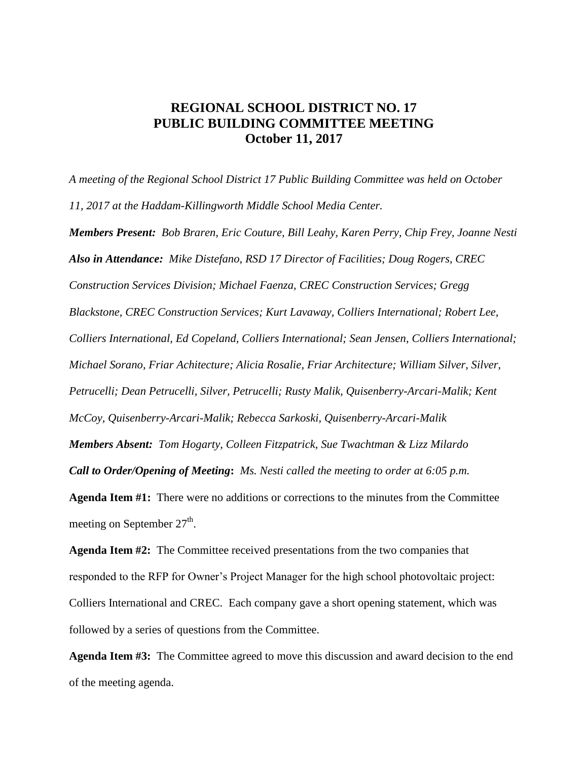## **REGIONAL SCHOOL DISTRICT NO. 17 PUBLIC BUILDING COMMITTEE MEETING October 11, 2017**

*A meeting of the Regional School District 17 Public Building Committee was held on October 11, 2017 at the Haddam-Killingworth Middle School Media Center. Members Present: Bob Braren, Eric Couture, Bill Leahy, Karen Perry, Chip Frey, Joanne Nesti Also in Attendance: Mike Distefano, RSD 17 Director of Facilities; Doug Rogers, CREC* 

*Construction Services Division; Michael Faenza, CREC Construction Services; Gregg Blackstone, CREC Construction Services; Kurt Lavaway, Colliers International; Robert Lee, Colliers International, Ed Copeland, Colliers International; Sean Jensen, Colliers International; Michael Sorano, Friar Achitecture; Alicia Rosalie, Friar Architecture; William Silver, Silver, Petrucelli; Dean Petrucelli, Silver, Petrucelli; Rusty Malik, Quisenberry-Arcari-Malik; Kent McCoy, Quisenberry-Arcari-Malik; Rebecca Sarkoski, Quisenberry-Arcari-Malik Members Absent: Tom Hogarty, Colleen Fitzpatrick, Sue Twachtman & Lizz Milardo Call to Order/Opening of Meeting***:** *Ms. Nesti called the meeting to order at 6:05 p.m.*

**Agenda Item #1:** There were no additions or corrections to the minutes from the Committee meeting on September  $27<sup>th</sup>$ .

**Agenda Item #2:** The Committee received presentations from the two companies that responded to the RFP for Owner's Project Manager for the high school photovoltaic project: Colliers International and CREC. Each company gave a short opening statement, which was followed by a series of questions from the Committee.

**Agenda Item #3:** The Committee agreed to move this discussion and award decision to the end of the meeting agenda.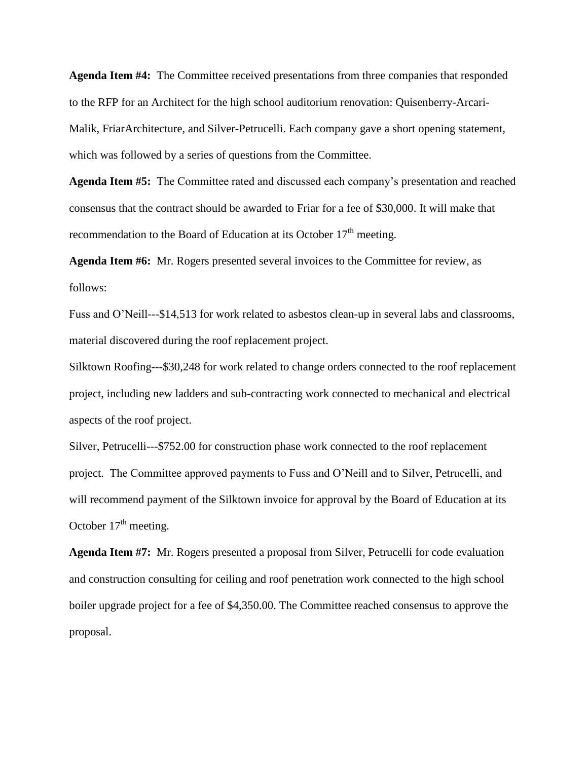**Agenda Item #4:** The Committee received presentations from three companies that responded to the RFP for an Architect for the high school auditorium renovation: Quisenberry-Arcari-Malik, FriarArchitecture, and Silver-Petrucelli. Each company gave a short opening statement, which was followed by a series of questions from the Committee.

**Agenda Item #5:** The Committee rated and discussed each company's presentation and reached consensus that the contract should be awarded to Friar for a fee of \$30,000. It will make that recommendation to the Board of Education at its October  $17<sup>th</sup>$  meeting.

**Agenda Item #6:** Mr. Rogers presented several invoices to the Committee for review, as follows:

Fuss and O'Neill---\$14,513 for work related to asbestos clean-up in several labs and classrooms, material discovered during the roof replacement project.

Silktown Roofing---\$30,248 for work related to change orders connected to the roof replacement project, including new ladders and sub-contracting work connected to mechanical and electrical aspects of the roof project.

Silver, Petrucelli---\$752.00 for construction phase work connected to the roof replacement project. The Committee approved payments to Fuss and O'Neill and to Silver, Petrucelli, and will recommend payment of the Silktown invoice for approval by the Board of Education at its October  $17<sup>th</sup>$  meeting.

**Agenda Item #7:** Mr. Rogers presented a proposal from Silver, Petrucelli for code evaluation and construction consulting for ceiling and roof penetration work connected to the high school boiler upgrade project for a fee of \$4,350.00. The Committee reached consensus to approve the proposal.